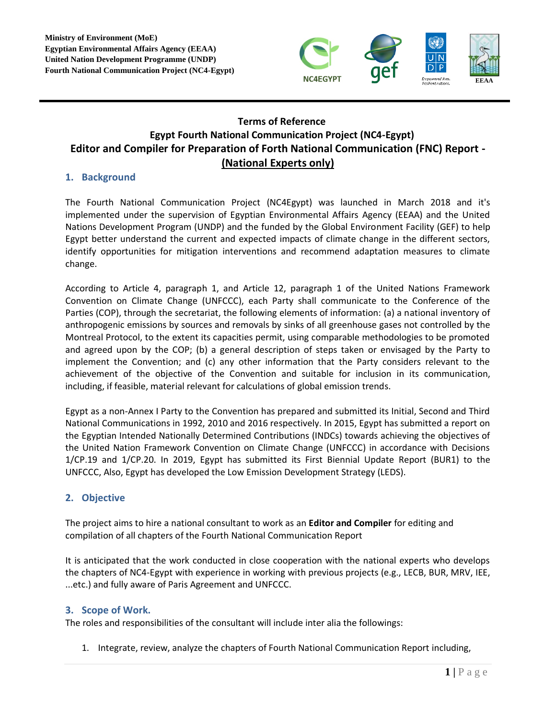

# **Terms of Reference Egypt Fourth National Communication Project (NC4-Egypt) Editor and Compiler for Preparation of Forth National Communication (FNC) Report - (National Experts only)**

### **1. Background**

The Fourth National Communication Project (NC4Egypt) was launched in March 2018 and it's implemented under the supervision of Egyptian Environmental Affairs Agency (EEAA) and the United Nations Development Program (UNDP) and the funded by the Global Environment Facility (GEF) to help Egypt better understand the current and expected impacts of climate change in the different sectors, identify opportunities for mitigation interventions and recommend adaptation measures to climate change.

According to Article 4, paragraph 1, and Article 12, paragraph 1 of the United Nations Framework Convention on Climate Change (UNFCCC), each Party shall communicate to the Conference of the Parties (COP), through the secretariat, the following elements of information: (a) a national inventory of anthropogenic emissions by sources and removals by sinks of all greenhouse gases not controlled by the Montreal Protocol, to the extent its capacities permit, using comparable methodologies to be promoted and agreed upon by the COP; (b) a general description of steps taken or envisaged by the Party to implement the Convention; and (c) any other information that the Party considers relevant to the achievement of the objective of the Convention and suitable for inclusion in its communication, including, if feasible, material relevant for calculations of global emission trends.

Egypt as a non-Annex I Party to the Convention has prepared and submitted its Initial, Second and Third National Communications in 1992, 2010 and 2016 respectively. In 2015, Egypt has submitted a report on the Egyptian Intended Nationally Determined Contributions (INDCs) towards achieving the objectives of the United Nation Framework Convention on Climate Change (UNFCCC) in accordance with Decisions 1/CP.19 and 1/CP.20. In 2019, Egypt has submitted its First Biennial Update Report (BUR1) to the UNFCCC, Also, Egypt has developed the Low Emission Development Strategy (LEDS).

## **2. Objective**

The project aims to hire a national consultant to work as an **Editor and Compiler** for editing and compilation of all chapters of the Fourth National Communication Report

It is anticipated that the work conducted in close cooperation with the national experts who develops the chapters of NC4-Egypt with experience in working with previous projects (e.g., LECB, BUR, MRV, IEE, ...etc.) and fully aware of Paris Agreement and UNFCCC.

### **3. Scope of Work.**

The roles and responsibilities of the consultant will include inter alia the followings:

1. Integrate, review, analyze the chapters of Fourth National Communication Report including,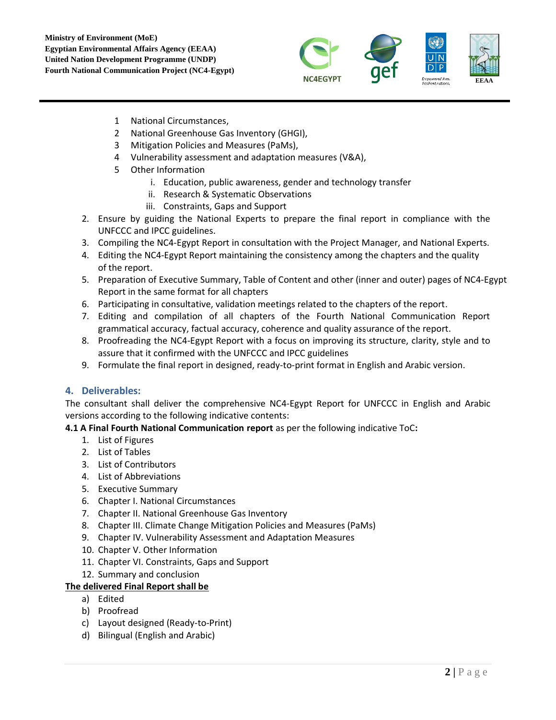

- 1 National Circumstances,
- 2 National Greenhouse Gas Inventory (GHGI),
- 3 Mitigation Policies and Measures (PaMs),
- 4 Vulnerability assessment and adaptation measures (V&A),
- 5 Other Information
	- i. Education, public awareness, gender and technology transfer
	- ii. Research & Systematic Observations
	- iii. Constraints, Gaps and Support
- 2. Ensure by guiding the National Experts to prepare the final report in compliance with the UNFCCC and IPCC guidelines.
- 3. Compiling the NC4-Egypt Report in consultation with the Project Manager, and National Experts.
- 4. Editing the NC4-Egypt Report maintaining the consistency among the chapters and the quality of the report.
- 5. Preparation of Executive Summary, Table of Content and other (inner and outer) pages of NC4-Egypt Report in the same format for all chapters
- 6. Participating in consultative, validation meetings related to the chapters of the report.
- 7. Editing and compilation of all chapters of the Fourth National Communication Report grammatical accuracy, factual accuracy, coherence and quality assurance of the report.
- 8. Proofreading the NC4-Egypt Report with a focus on improving its structure, clarity, style and to assure that it confirmed with the UNFCCC and IPCC guidelines
- 9. Formulate the final report in designed, ready-to-print format in English and Arabic version.

## **4. Deliverables:**

The consultant shall deliver the comprehensive NC4-Egypt Report for UNFCCC in English and Arabic versions according to the following indicative contents:

### **4.1 A Final Fourth National Communication report** as per the following indicative ToC**:**

- 1. List of Figures
- 2. List of Tables
- 3. List of Contributors
- 4. List of Abbreviations
- 5. Executive Summary
- 6. Chapter I. National Circumstances
- 7. Chapter II. National Greenhouse Gas Inventory
- 8. Chapter III. Climate Change Mitigation Policies and Measures (PaMs)
- 9. Chapter IV. Vulnerability Assessment and Adaptation Measures
- 10. Chapter V. Other Information
- 11. Chapter VI. Constraints, Gaps and Support
- 12. Summary and conclusion

### **The delivered Final Report shall be**

- a) Edited
- b) Proofread
- c) Layout designed (Ready-to-Print)
- d) Bilingual (English and Arabic)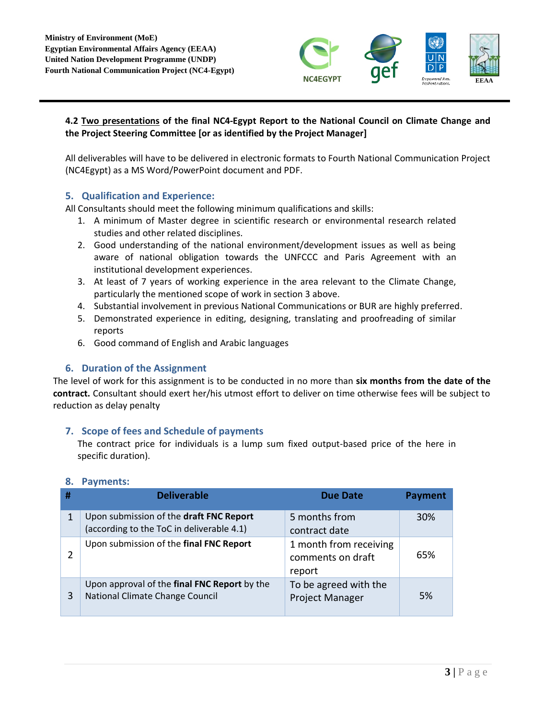

# **4.2 Two presentations of the final NC4-Egypt Report to the National Council on Climate Change and the Project Steering Committee [or as identified by the Project Manager]**

All deliverables will have to be delivered in electronic formats to Fourth National Communication Project (NC4Egypt) as a MS Word/PowerPoint document and PDF.

### **5. Qualification and Experience:**

All Consultants should meet the following minimum qualifications and skills:

- 1. A minimum of Master degree in scientific research or environmental research related studies and other related disciplines.
- 2. Good understanding of the national environment/development issues as well as being aware of national obligation towards the UNFCCC and Paris Agreement with an institutional development experiences.
- 3. At least of 7 years of working experience in the area relevant to the Climate Change, particularly the mentioned scope of work in section 3 above.
- 4. Substantial involvement in previous National Communications or BUR are highly preferred.
- 5. Demonstrated experience in editing, designing, translating and proofreading of similar reports
- 6. Good command of English and Arabic languages

## **6. Duration of the Assignment**

The level of work for this assignment is to be conducted in no more than **six months from the date of the contract.** Consultant should exert her/his utmost effort to deliver on time otherwise fees will be subject to reduction as delay penalty

### **7. Scope of fees and Schedule of payments**

The contract price for individuals is a lump sum fixed output-based price of the here in specific duration).

| # | <b>Deliverable</b>                                                                   | <b>Due Date</b>                                       | <b>Payment</b> |
|---|--------------------------------------------------------------------------------------|-------------------------------------------------------|----------------|
|   | Upon submission of the draft FNC Report<br>(according to the ToC in deliverable 4.1) | 5 months from<br>contract date                        | 30%            |
|   | Upon submission of the final FNC Report                                              | 1 month from receiving<br>comments on draft<br>report | 65%            |
| 3 | Upon approval of the final FNC Report by the<br>National Climate Change Council      | To be agreed with the<br>Project Manager              | 5%             |

### **8. Payments:**